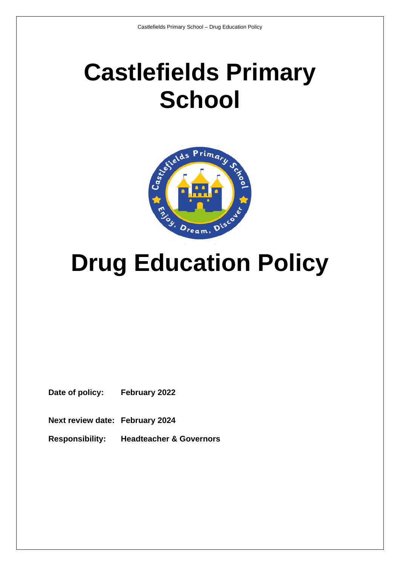# **Castlefields Primary School**



# **Drug Education Policy**

**Date of policy: February 2022**

**Next review date: February 2024**

**Responsibility: Headteacher & Governors**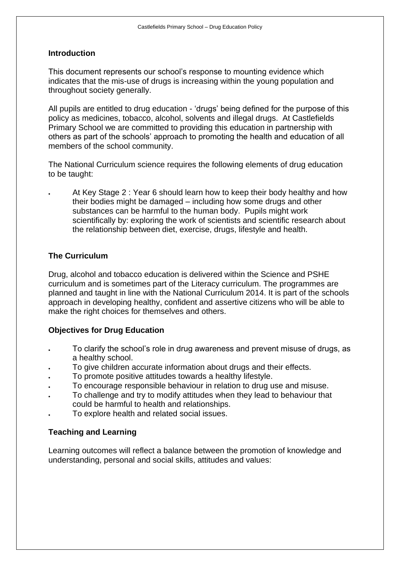#### **Introduction**

This document represents our school's response to mounting evidence which indicates that the mis-use of drugs is increasing within the young population and throughout society generally.

All pupils are entitled to drug education - 'drugs' being defined for the purpose of this policy as medicines, tobacco, alcohol, solvents and illegal drugs. At Castlefields Primary School we are committed to providing this education in partnership with others as part of the schools' approach to promoting the health and education of all members of the school community.

The National Curriculum science requires the following elements of drug education to be taught:

• At Key Stage 2 : Year 6 should learn how to keep their body healthy and how their bodies might be damaged – including how some drugs and other substances can be harmful to the human body. Pupils might work scientifically by: exploring the work of scientists and scientific research about the relationship between diet, exercise, drugs, lifestyle and health.

## **The Curriculum**

Drug, alcohol and tobacco education is delivered within the Science and PSHE curriculum and is sometimes part of the Literacy curriculum. The programmes are planned and taught in line with the National Curriculum 2014. It is part of the schools approach in developing healthy, confident and assertive citizens who will be able to make the right choices for themselves and others.

## **Objectives for Drug Education**

- To clarify the school's role in drug awareness and prevent misuse of drugs, as a healthy school.
- To give children accurate information about drugs and their effects.
- To promote positive attitudes towards a healthy lifestyle.
- To encourage responsible behaviour in relation to drug use and misuse.
- To challenge and try to modify attitudes when they lead to behaviour that could be harmful to health and relationships.
- To explore health and related social issues.

## **Teaching and Learning**

Learning outcomes will reflect a balance between the promotion of knowledge and understanding, personal and social skills, attitudes and values: